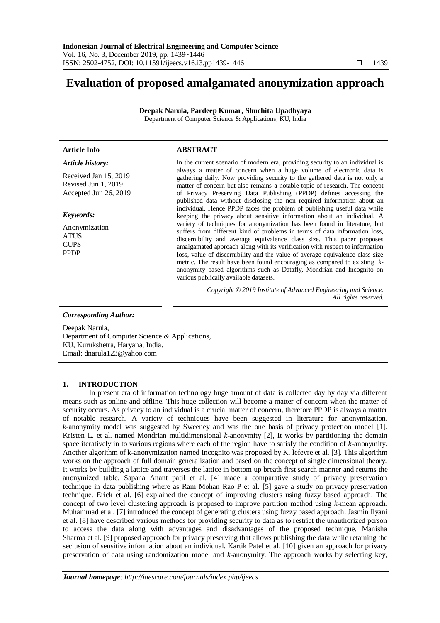# **Evaluation of proposed amalgamated anonymization approach**

**Deepak Narula, Pardeep Kumar, Shuchita Upadhyaya** Department of Computer Science & Applications, KU, India

#### **Article Info ABSTRACT** *Article history:* Received Jan 15, 2019 Revised Jun 1, 2019 Accepted Jun 26, 2019 In the current scenario of modern era, providing security to an individual is always a matter of concern when a huge volume of electronic data is gathering daily. Now providing security to the gathered data is not only a matter of concern but also remains a notable topic of research. The concept of Privacy Preserving Data Publishing (PPDP) defines accessing the published data without disclosing the non required information about an individual. Hence PPDP faces the problem of publishing useful data while keeping the privacy about sensitive information about an individual. A variety of techniques for anonymization has been found in literature, but suffers from different kind of problems in terms of data information loss, discernibility and average equivalence class size. This paper proposes amalgamated approach along with its verification with respect to information loss, value of discernibility and the value of average equivalence class size metric. The result have been found encouraging as compared to existing *k*anonymity based algorithms such as Datafly, Mondrian and Incognito on various publically available datasets. *Keywords:* Anonymization ATUS CUPS PPDP

*Copyright © 2019 Institute of Advanced Engineering and Science. All rights reserved.*

*Corresponding Author:*

Deepak Narula, Department of Computer Science & Applications, KU, Kurukshetra, Haryana, India. Email: dnarula123@yahoo.com

### **1. INTRODUCTION**

In present era of information technology huge amount of data is collected day by day via different means such as online and offline. This huge collection will become a matter of concern when the matter of security occurs. As privacy to an individual is a crucial matter of concern, therefore PPDP is always a matter of notable research. A variety of techniques have been suggested in literature for anonymization. *k-*anonymity model was suggested by Sweeney and was the one basis of privacy protection model [1]. Kristen L. et al. named Mondrian multidimensional *k-*anonymity [2], It works by partitioning the domain space iteratively in to various regions where each of the region have to satisfy the condition of *k-*anonymity. Another algorithm of k-anonymization named Incognito was proposed by K. lefevre et al. [3]. This algorithm works on the approach of full domain generalization and based on the concept of single dimensional theory. It works by building a lattice and traverses the lattice in bottom up breath first search manner and returns the anonymized table. Sapana Anant patil et al. [4] made a comparative study of privacy preservation technique in data publishing where as Ram Mohan Rao P et al. [5] gave a study on privacy preservation technique. Erick et al. [6] explained the concept of improving clusters using fuzzy based approach. The concept of two level clustering approach is proposed to improve partition method using *k-*mean approach. Muhammad et al. [7] introduced the concept of generating clusters using fuzzy based approach. Jasmin Ilyani et al. [8] have described various methods for providing security to data as to restrict the unauthorized person to access the data along with advantages and disadvantages of the proposed technique. Manisha Sharma et al. [9] proposed approach for privacy preserving that allows publishing the data while retaining the seclusion of sensitive information about an individual. Kartik Patel et al. [10] given an approach for privacy preservation of data using randomization model and *k-*anonymity. The approach works by selecting key,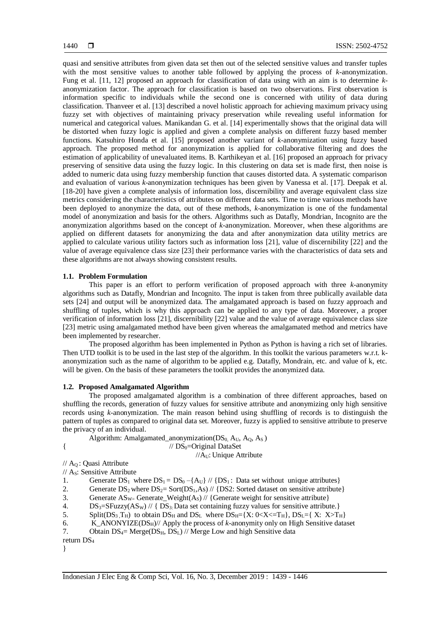quasi and sensitive attributes from given data set then out of the selected sensitive values and transfer tuples with the most sensitive values to another table followed by applying the process of *k*-anonymization. Fung et al. [11, 12] proposed an approach for classification of data using with an aim is to determine *k*anonymization factor. The approach for classification is based on two observations. First observation is information specific to individuals while the second one is concerned with utility of data during classification. Thanveer et al. [13] described a novel holistic approach for achieving maximum privacy using fuzzy set with objectives of maintaining privacy preservation while revealing useful information for numerical and categorical values. Manikandan G. et al. [14] experimentally shows that the original data will be distorted when fuzzy logic is applied and given a complete analysis on different fuzzy based member functions. Katsuhiro Honda et al. [15] proposed another variant of *k-*anonymization using fuzzy based approach. The proposed method for anonymization is applied for collaborative filtering and does the estimation of applicability of unevaluated items. B. Karthikeyan et al. [16] proposed an approach for privacy preserving of sensitive data using the fuzzy logic. In this clustering on data set is made first, then noise is added to numeric data using fuzzy membership function that causes distorted data. A systematic comparison and evaluation of various *k-*anonymization techniques has been given by Vanessa et al. [17]. Deepak et al. [18-20] have given a complete analysis of information loss, discernibility and average equivalent class size metrics considering the characteristics of attributes on different data sets. Time to time various methods have been deployed to anonymize the data, out of these methods, *k-*anonymization is one of the fundamental model of anonymization and basis for the others. Algorithms such as Datafly, Mondrian, Incognito are the anonymization algorithms based on the concept of *k-*anonymization. Moreover, when these algorithms are applied on different datasets for anonymizing the data and after anonymization data utility metrics are applied to calculate various utility factors such as information loss [21], value of discernibility [22] and the value of average equivalence class size [23] their performance varies with the characteristics of data sets and these algorithms are not always showing consistent results.

### **1.1. Problem Formulation**

This paper is an effort to perform verification of proposed approach with three *k-*anonymity algorithms such as Datafly, Mondrian and Incognito. The input is taken from three publically available data sets [24] and output will be anonymized data. The amalgamated approach is based on fuzzy approach and shuffling of tuples, which is why this approach can be applied to any type of data. Moreover, a proper verification of information loss [21], discernibility [22] value and the value of average equivalence class size [23] metric using amalgamated method have been given whereas the amalgamated method and metrics have been implemented by researcher.

The proposed algorithm has been implemented in Python as Python is having a rich set of libraries. Then UTD toolkit is to be used in the last step of the algorithm. In this toolkit the various parameters w.r.t. kanonymization such as the name of algorithm to be applied e.g. Datafly, Mondrain, etc. and value of k, etc. will be given. On the basis of these parameters the toolkit provides the anonymized data.

#### **1.2. Proposed Amalgamated Algorithm**

The proposed amalgamated algorithm is a combination of three different approaches, based on shuffling the records, generation of fuzzy values for sensitive attribute and anonymizing only high sensitive records using *k-*anonymization. The main reason behind using shuffling of records is to distinguish the pattern of tuples as compared to original data set. Moreover, fuzzy is applied to sensitive attribute to preserve the privacy of an individual.

Algorithm: Amalgamated\_anonymization( $DS<sub>0</sub>$ ,  $A<sub>U</sub>$ ,  $A<sub>Q</sub>$ ,  $A<sub>S</sub>$ )

```
\frac{1}{2} // DS<sub>0</sub>=Original DataSet
```
 $//A_U: Unique$  Attribute

// AQ : Quasi Attribute // AS: Sensitive Attribute

1. Generate  $DS_1$  where  $DS_1 = DS_0 - \{A_U\}$  //  $\{DS_1$ : Data set without unique attributes}

2. Generate  $DS_2$  where  $DS_2$ = Sort( $DS_1$ ,As) // {DS2: Sorted dataset on sensitive attribute}

3. Generate  $AS_{W=}$  Generate\_Weight(As) // {Generate weight for sensitive attribute}

4.  $DS_3 = SFuzzy(AS_w) // {DS_3: Data set containing fuzzy values for sensitive attribute.}$ 

5. Split( $DS_3$   $T_H$ ) to obtain  $DS_H$  and  $DS_L$  where  $DS_H = \{X: 0 < X \leq T_H\}$ ,  $DS_L = \{X: X \geq T_H\}$ 

6. K\_ANONYIZE( $DS_H$ )// Apply the process of *k*-anonymity only on High Sensitive dataset

7. Obtain  $DS_4$ = Merge( $DS_H$ ,  $DS_L$ ) // Merge Low and high Sensitive data

}

return DS<sup>4</sup>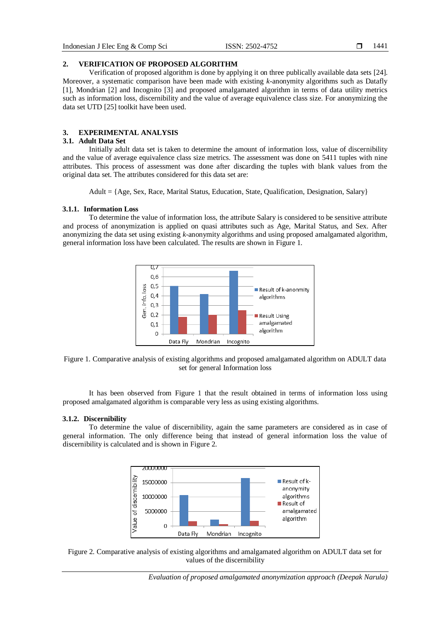# **2. VERIFICATION OF PROPOSED ALGORITHM**

Verification of proposed algorithm is done by applying it on three publically available data sets [24]. Moreover, a systematic comparison have been made with existing *k-*anonymity algorithms such as Datafly [1], Mondrian [2] and Incognito [3] and proposed amalgamated algorithm in terms of data utility metrics such as information loss, discernibility and the value of average equivalence class size. For anonymizing the data set UTD [25] toolkit have been used.

# **3. EXPERIMENTAL ANALYSIS**

# **3.1. Adult Data Set**

Initially adult data set is taken to determine the amount of information loss, value of discernibility and the value of average equivalence class size metrics. The assessment was done on 5411 tuples with nine attributes. This process of assessment was done after discarding the tuples with blank values from the original data set. The attributes considered for this data set are:

Adult = {Age, Sex, Race, Marital Status, Education, State, Qualification, Designation, Salary}

# **3.1.1. Information Loss**

To determine the value of information loss, the attribute Salary is considered to be sensitive attribute and process of anonymization is applied on quasi attributes such as Age, Marital Status, and Sex. After anonymizing the data set using existing *k-*anonymity algorithms and using proposed amalgamated algorithm, general information loss have been calculated. The results are shown in Figure 1.



Figure 1. Comparative analysis of existing algorithms and proposed amalgamated algorithm on ADULT data set for general Information loss

It has been observed from Figure 1 that the result obtained in terms of information loss using proposed amalgamated algorithm is comparable very less as using existing algorithms.

# **3.1.2. Discernibility**

To determine the value of discernibility, again the same parameters are considered as in case of general information. The only difference being that instead of general information loss the value of discernibility is calculated and is shown in Figure 2.



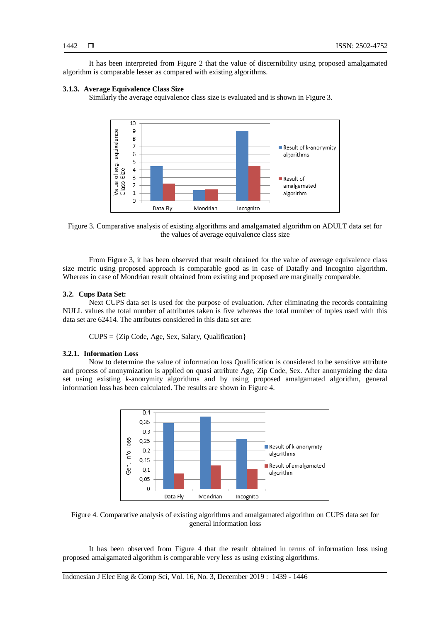It has been interpreted from Figure 2 that the value of discernibility using proposed amalgamated algorithm is comparable lesser as compared with existing algorithms.

### **3.1.3. Average Equivalence Class Size**

Similarly the average equivalence class size is evaluated and is shown in Figure 3.





From Figure 3, it has been observed that result obtained for the value of average equivalence class size metric using proposed approach is comparable good as in case of Datafly and Incognito algorithm. Whereas in case of Mondrian result obtained from existing and proposed are marginally comparable.

### **3.2. Cups Data Set:**

Next CUPS data set is used for the purpose of evaluation. After eliminating the records containing NULL values the total number of attributes taken is five whereas the total number of tuples used with this data set are 62414. The attributes considered in this data set are:

 $CUPS = \{Zip Code, Age, Sex, Salary, Oualification\}$ 

# **3.2.1. Information Loss**

Now to determine the value of information loss Qualification is considered to be sensitive attribute and process of anonymization is applied on quasi attribute Age, Zip Code, Sex. After anonymizing the data set using existing *k-*anonymity algorithms and by using proposed amalgamated algorithm, general information loss has been calculated. The results are shown in Figure 4.



Figure 4. Comparative analysis of existing algorithms and amalgamated algorithm on CUPS data set for general information loss

It has been observed from Figure 4 that the result obtained in terms of information loss using proposed amalgamated algorithm is comparable very less as using existing algorithms.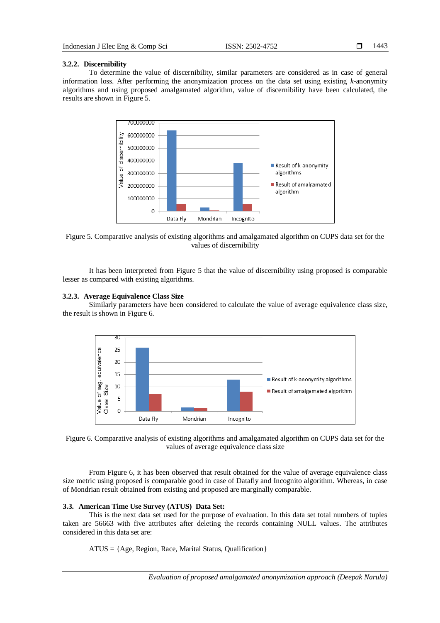# **3.2.2. Discernibility**

To determine the value of discernibility, similar parameters are considered as in case of general information loss. After performing the anonymization process on the data set using existing *k-*anonymity algorithms and using proposed amalgamated algorithm, value of discernibility have been calculated, the results are shown in Figure 5.



Figure 5. Comparative analysis of existing algorithms and amalgamated algorithm on CUPS data set for the values of discernibility

It has been interpreted from Figure 5 that the value of discernibility using proposed is comparable lesser as compared with existing algorithms.

# **3.2.3. Average Equivalence Class Size**

Similarly parameters have been considered to calculate the value of average equivalence class size, the result is shown in Figure 6.





From Figure 6, it has been observed that result obtained for the value of average equivalence class size metric using proposed is comparable good in case of Datafly and Incognito algorithm. Whereas, in case of Mondrian result obtained from existing and proposed are marginally comparable.

# **3.3. American Time Use Survey (ATUS) Data Set:**

This is the next data set used for the purpose of evaluation. In this data set total numbers of tuples taken are 56663 with five attributes after deleting the records containing NULL values. The attributes considered in this data set are:

ATUS = {Age, Region, Race, Marital Status, Qualification}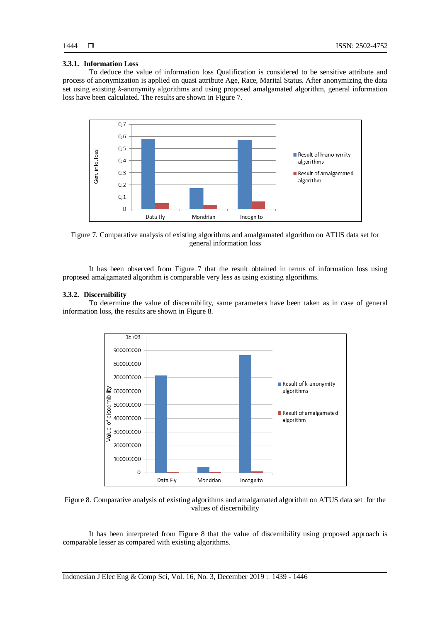# **3.3.1. Information Loss**

To deduce the value of information loss Qualification is considered to be sensitive attribute and process of anonymization is applied on quasi attribute Age, Race, Marital Status. After anonymizing the data set using existing *k-*anonymity algorithms and using proposed amalgamated algorithm, general information loss have been calculated. The results are shown in Figure 7.



Figure 7. Comparative analysis of existing algorithms and amalgamated algorithm on ATUS data set for general information loss

It has been observed from Figure 7 that the result obtained in terms of information loss using proposed amalgamated algorithm is comparable very less as using existing algorithms.

### **3.3.2. Discernibility**

To determine the value of discernibility, same parameters have been taken as in case of general information loss, the results are shown in Figure 8.



Figure 8. Comparative analysis of existing algorithms and amalgamated algorithm on ATUS data set for the values of discernibility

It has been interpreted from Figure 8 that the value of discernibility using proposed approach is comparable lesser as compared with existing algorithms.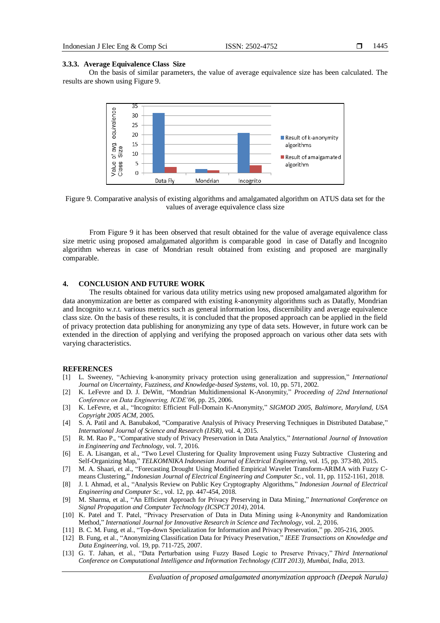1445

#### **3.3.3. Average Equivalence Class Size**

On the basis of similar parameters, the value of average equivalence size has been calculated. The results are shown using Figure 9.



Figure 9. Comparative analysis of existing algorithms and amalgamated algorithm on ATUS data set for the values of average equivalence class size

From Figure 9 it has been observed that result obtained for the value of average equivalence class size metric using proposed amalgamated algorithm is comparable good in case of Datafly and Incognito algorithm whereas in case of Mondrian result obtained from existing and proposed are marginally comparable.

# **4. CONCLUSION AND FUTURE WORK**

The results obtained for various data utility metrics using new proposed amalgamated algorithm for data anonymization are better as compared with existing *k-*anonymity algorithms such as Datafly, Mondrian and Incognito w.r.t. various metrics such as general information loss, discernibility and average equivalence class size. On the basis of these results, it is concluded that the proposed approach can be applied in the field of privacy protection data publishing for anonymizing any type of data sets. However, in future work can be extended in the direction of applying and verifying the proposed approach on various other data sets with varying characteristics.

#### **REFERENCES**

- [1] L. Sweeney, "Achieving k-anonymity privacy protection using generalization and suppression," *International Journal on Uncertainty, Fuzziness, and Knowledge-based Systems*, vol. 10, pp. 571, 2002.
- [2] K. LeFevre and D. J. DeWitt, "Mondrian Multidimensional K-Anonymity," *Proceeding of 22nd International Conference on Data Engineering, ICDE'06*, pp. 25, 2006.
- [3] K. LeFevre, et al., "Incognito: Efficient Full-Domain K-Anonymity," *SIGMOD 2005, Baltimore, Maryland, USA Copyright 2005 ACM,* 2005.
- [4] S. A. Patil and A. Banubakod, "Comparative Analysis of Privacy Preserving Techniques in Distributed Database," *International Journal of Science and Research (IJSR)*, vol. 4, 2015.
- [5] R. M. Rao P., "Comparative study of Privacy Preservation in Data Analytics," *International Journal of Innovation in Engineering and Technology*, vol. 7, 2016.
- [6] E. A. Lisangan, et al., "Two Level Clustering for Quality Improvement using Fuzzy Subtractive Clustering and Self-Organizing Map," *TELKOMNIKA Indonesian Journal of Electrical Engineering*, vol. 15, pp. 373-80, 2015.
- [7] M. A. Shaari, et al., "Forecasting Drought Using Modified Empirical Wavelet Transform-ARIMA with Fuzzy Cmeans Clustering," *Indonesian Journal of Electrical Engineering and Computer Sc.*, vol. 11, pp. 1152-1161, 2018.
- [8] J. I. Ahmad, et al., "Analysis Review on Public Key Cryptography Algorithms," *Indonesian Journal of Electrical Engineering and Computer Sc.*, vol. 12, pp. 447-454, 2018.
- [9] M. Sharma, et al., "An Efficient Approach for Privacy Preserving in Data Mining," *[International Conference on](https://ieeexplore.ieee.org/xpl/mostRecentIssue.jsp?punumber=6872771)  [Signal Propagation and Computer Technology \(ICSPCT 2014\)](https://ieeexplore.ieee.org/xpl/mostRecentIssue.jsp?punumber=6872771)*, 2014.
- [10] K. Patel and T. Patel, "Privacy Preservation of Data in Data Mining using *k*-Anonymity and Randomization Method," *International Journal for Innovative Research in Science and Technology*, vol. 2, 2016.
- [11] B. C. M. Fung, et al., "Top-down Specialization for Information and Privacy Preservation," pp. 205-216, 2005.
- [12] B. Fung, et al., "Anonymizing Classification Data for Privacy Preservation," *IEEE Transactions on Knowledge and Data Engineering*, vol. 19, pp. 711-725, 2007.
- [13] G. T. Jahan, et al., "Data Perturbation using Fuzzy Based Logic to Preserve Privacy," *Third International Conference on Computational Intelligence and Information Technology (CIIT 2013), Mumbai, India*, 2013.